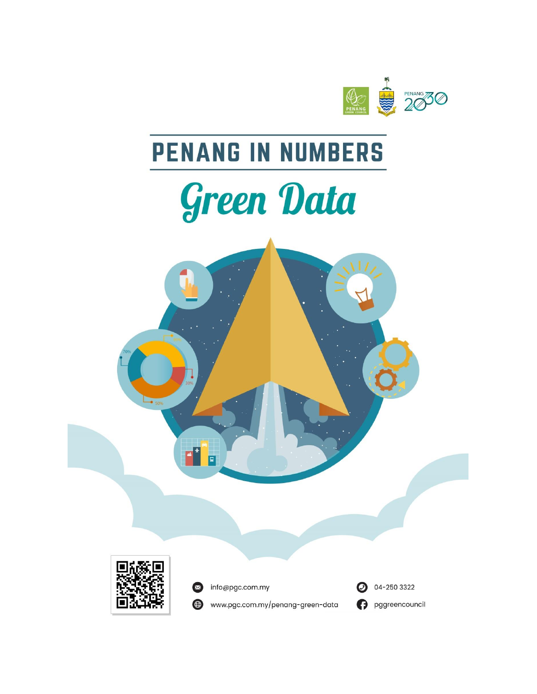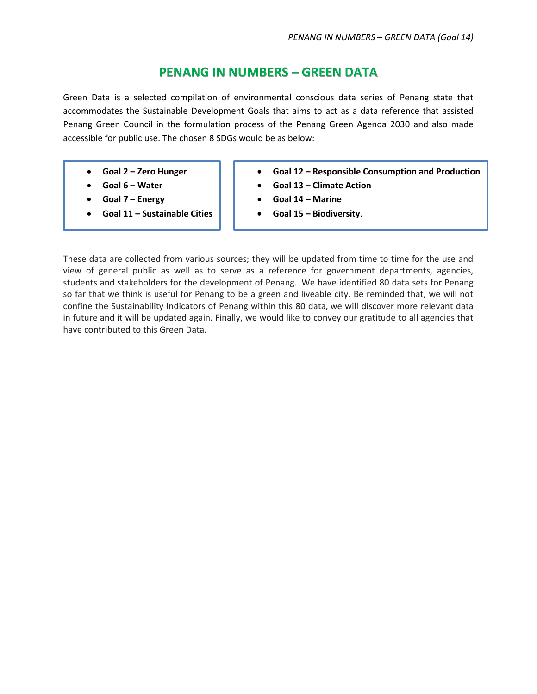## **PENANG IN NUMBERS – GREEN DATA**

Green Data is a selected compilation of environmental conscious data series of Penang state that accommodates the Sustainable Development Goals that aims to act as a data reference that assisted Penang Green Council in the formulation process of the Penang Green Agenda 2030 and also made accessible for public use. The chosen 8 SDGs would be as below:

- **Goal 2 – Zero Hunger**
- **Goal 6 – Water**
- **Goal 7 – Energy**
- **Goal 11 – Sustainable Cities**
- **Goal 12 – Responsible Consumption and Production**
- **Goal 13 – Climate Action**
- **Goal 14 – Marine**
- **Goal 15 – Biodiversity**.

These data are collected from various sources; they will be updated from time to time for the use and view of general public as well as to serve as a reference for government departments, agencies, students and stakeholders for the development of Penang. We have identified 80 data sets for Penang so far that we think is useful for Penang to be a green and liveable city. Be reminded that, we will not confine the Sustainability Indicators of Penang within this 80 data, we will discover more relevant data in future and it will be updated again. Finally, we would like to convey our gratitude to all agencies that have contributed to this Green Data.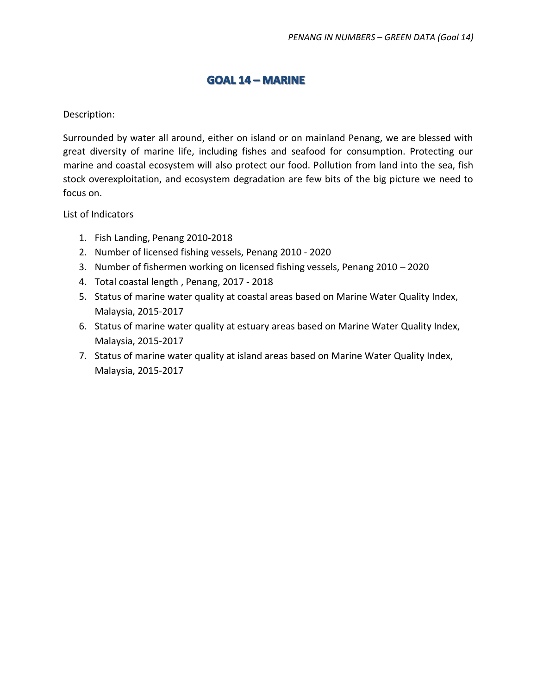## **GOAL 14 - MARINE**

## Description:

Surrounded by water all around, either on island or on mainland Penang, we are blessed with great diversity of marine life, including fishes and seafood for consumption. Protecting our marine and coastal ecosystem will also protect our food. Pollution from land into the sea, fish stock overexploitation, and ecosystem degradation are few bits of the big picture we need to focus on.

List of Indicators

- 1. Fish Landing, Penang 2010-2018
- 2. Number of licensed fishing vessels, Penang 2010 2020
- 3. Number of fishermen working on licensed fishing vessels, Penang 2010 2020
- 4. Total coastal length , Penang, 2017 2018
- 5. Status of marine water quality at coastal areas based on Marine Water Quality Index, Malaysia, 2015-2017
- 6. Status of marine water quality at estuary areas based on Marine Water Quality Index, Malaysia, 2015-2017
- 7. Status of marine water quality at island areas based on Marine Water Quality Index, Malaysia, 2015-2017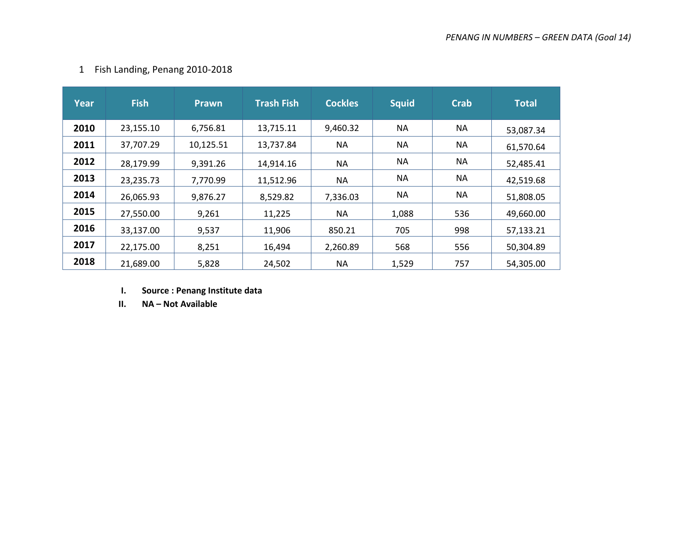|  |  | Fish Landing, Penang 2010-2018 |
|--|--|--------------------------------|
|--|--|--------------------------------|

| Year | <b>Fish</b> | <b>Prawn</b> | <b>Trash Fish</b> | <b>Cockles</b> | <b>Squid</b> | <b>Crab</b> | <b>Total</b> |
|------|-------------|--------------|-------------------|----------------|--------------|-------------|--------------|
| 2010 | 23,155.10   | 6,756.81     | 13,715.11         | 9,460.32       | <b>NA</b>    | <b>NA</b>   | 53,087.34    |
| 2011 | 37,707.29   | 10,125.51    | 13,737.84         | <b>NA</b>      | <b>NA</b>    | <b>NA</b>   | 61,570.64    |
| 2012 | 28,179.99   | 9,391.26     | 14,914.16         | <b>NA</b>      | <b>NA</b>    | <b>NA</b>   | 52,485.41    |
| 2013 | 23,235.73   | 7,770.99     | 11,512.96         | NA.            | <b>NA</b>    | <b>NA</b>   | 42,519.68    |
| 2014 | 26,065.93   | 9,876.27     | 8,529.82          | 7,336.03       | <b>NA</b>    | <b>NA</b>   | 51,808.05    |
| 2015 | 27,550.00   | 9,261        | 11,225            | <b>NA</b>      | 1,088        | 536         | 49,660.00    |
| 2016 | 33,137.00   | 9,537        | 11,906            | 850.21         | 705          | 998         | 57,133.21    |
| 2017 | 22,175.00   | 8,251        | 16,494            | 2,260.89       | 568          | 556         | 50,304.89    |
| 2018 | 21,689.00   | 5,828        | 24,502            | <b>NA</b>      | 1,529        | 757         | 54,305.00    |

**I. Source : Penang Institute data**

**II. NA – Not Available**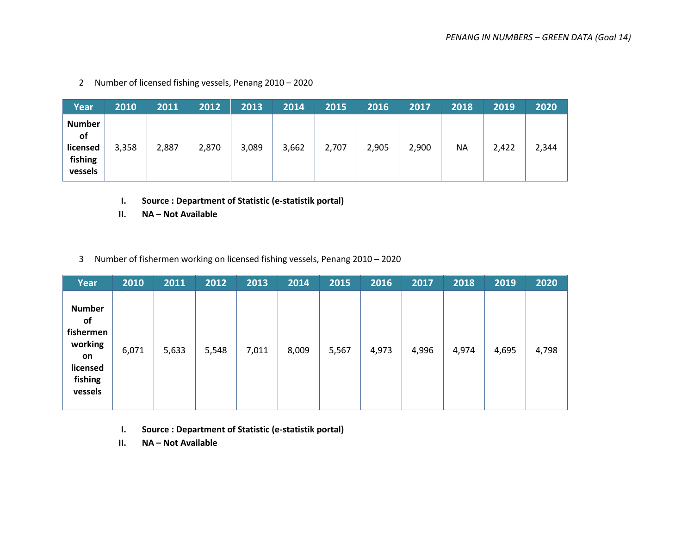| Year                                                         | 2010  | 2011  | 2012  | 2013  | 2014  | 2015  | 2016  | 2017  | 2018 | 2019  | 2020  |
|--------------------------------------------------------------|-------|-------|-------|-------|-------|-------|-------|-------|------|-------|-------|
| <b>Number</b><br><b>of</b><br>licensed<br>fishing<br>vessels | 3,358 | 2,887 | 2,870 | 3,089 | 3,662 | 2,707 | 2,905 | 2,900 | ΝA   | 2,422 | 2,344 |

2 Number of licensed fishing vessels, Penang 2010 – 2020

- **I. Source : Department of Statistic (e-statistik portal)**
- **II. NA – Not Available**
- 3 Number of fishermen working on licensed fishing vessels, Penang 2010 2020

| Year                                                                                | 2010  | 2011  | 2012  | 2013  | 2014  | 2015  | 2016  | 2017  | 2018  | 2019  | 2020  |
|-------------------------------------------------------------------------------------|-------|-------|-------|-------|-------|-------|-------|-------|-------|-------|-------|
| <b>Number</b><br>of<br>fishermen<br>working<br>on<br>licensed<br>fishing<br>vessels | 6,071 | 5,633 | 5,548 | 7,011 | 8,009 | 5,567 | 4,973 | 4,996 | 4,974 | 4,695 | 4,798 |

- **I. Source : Department of Statistic (e-statistik portal)**
- **II. NA – Not Available**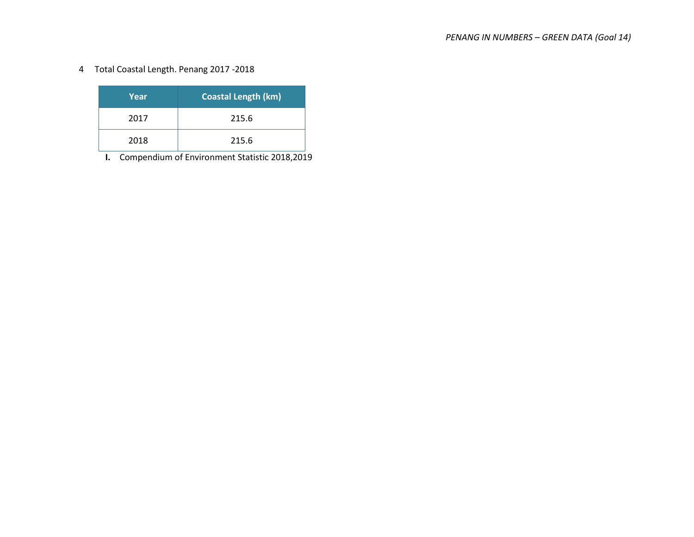4 Total Coastal Length. Penang 2017 -2018

| Year | <b>Coastal Length (km)</b> |
|------|----------------------------|
| 2017 | 215.6                      |
| 2018 | 215.6                      |

**I.** Compendium of Environment Statistic 2018,2019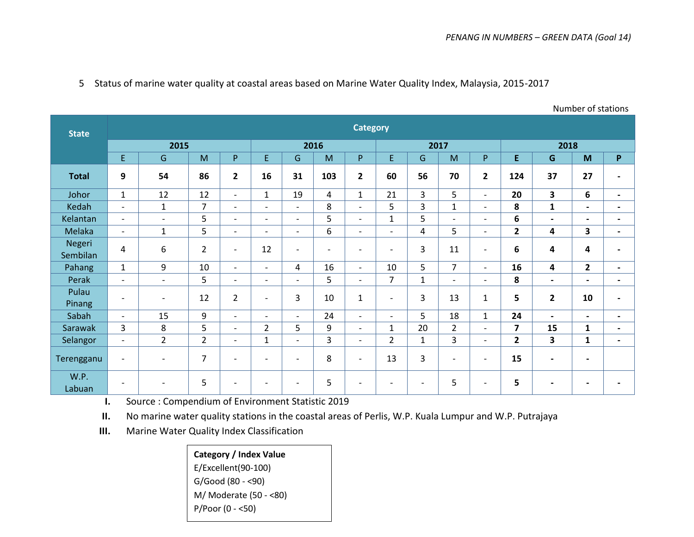Number of stations

| <b>State</b>       |                          |                          |                |                          |                          |                          |                          | <b>Category</b>          |                          |                          |                |                          |                         |                              |                              |                          |  |
|--------------------|--------------------------|--------------------------|----------------|--------------------------|--------------------------|--------------------------|--------------------------|--------------------------|--------------------------|--------------------------|----------------|--------------------------|-------------------------|------------------------------|------------------------------|--------------------------|--|
|                    |                          | 2015                     |                |                          | 2016                     |                          |                          |                          |                          |                          | 2017           |                          | 2018                    |                              |                              |                          |  |
|                    | E.                       | G                        | M              | P                        | E.                       | G                        | M                        | P.                       | E.                       | G                        | M              | P                        | E.                      | G                            | M                            | P.                       |  |
| <b>Total</b>       | 9                        | 54                       | 86             | $\overline{2}$           | 16                       | 31                       | 103                      | $\overline{\mathbf{2}}$  | 60                       | 56                       | 70             | $\overline{2}$           | 124                     | 37                           | 27                           | $\blacksquare$           |  |
| Johor              | $\mathbf{1}$             | 12                       | 12             | $\overline{\phantom{0}}$ | $\mathbf{1}$             | 19                       | $\overline{4}$           | $\mathbf{1}$             | 21                       | 3                        | 5              | $\overline{\phantom{a}}$ | 20                      | $\overline{\mathbf{3}}$      | 6                            | $\overline{\phantom{0}}$ |  |
| Kedah              | $\overline{\phantom{a}}$ | $\mathbf{1}$             | $\overline{7}$ | $\overline{\phantom{a}}$ | $\blacksquare$           | $\blacksquare$           | 8                        | $\overline{\phantom{a}}$ | 5                        | 3                        | $\mathbf{1}$   | $\blacksquare$           | 8                       | $\mathbf{1}$                 | $\overline{\phantom{0}}$     | $\overline{\phantom{0}}$ |  |
| Kelantan           | $\overline{\phantom{a}}$ | $\overline{\phantom{a}}$ | 5              | $\overline{a}$           | $\overline{\phantom{a}}$ | $\overline{\phantom{a}}$ | 5                        | $\overline{\phantom{a}}$ | $\mathbf{1}$             | 5                        | $\blacksquare$ | $\overline{\phantom{a}}$ | 6                       | $\blacksquare$               | $\blacksquare$               | $\blacksquare$           |  |
| Melaka             | $\sim$                   | $\mathbf{1}$             | 5              | $\overline{\phantom{0}}$ | $\overline{\phantom{a}}$ | $\overline{\phantom{a}}$ | 6                        | $\overline{\phantom{a}}$ | $\blacksquare$           | 4                        | 5              | $\overline{\phantom{a}}$ | $\overline{2}$          | 4                            | $\overline{\mathbf{3}}$      | $\overline{\phantom{0}}$ |  |
| Negeri<br>Sembilan | 4                        | 6                        | $\overline{2}$ | $\overline{\phantom{a}}$ | 12                       | $\overline{\phantom{0}}$ | $\overline{\phantom{0}}$ | $\overline{\phantom{a}}$ | $\overline{\phantom{0}}$ | 3                        | 11             | $\overline{\phantom{0}}$ | 6                       | 4                            | 4                            |                          |  |
| Pahang             | $\mathbf{1}$             | 9                        | 10             | $\overline{a}$           | $\overline{\phantom{a}}$ | 4                        | 16                       | $\overline{a}$           | 10                       | 5                        | $\overline{7}$ | $\overline{a}$           | 16                      | $\overline{\mathbf{4}}$      | $\overline{2}$               | $\overline{\phantom{0}}$ |  |
| Perak              | $\overline{\phantom{a}}$ | $\overline{\phantom{a}}$ | 5              | $\overline{a}$           | $\blacksquare$           | $\overline{\phantom{0}}$ | 5                        | $\overline{\phantom{a}}$ | $\overline{7}$           | $\mathbf 1$              | $\blacksquare$ | $\blacksquare$           | 8                       | $\overline{\phantom{a}}$     | $\blacksquare$               | $\blacksquare$           |  |
| Pulau<br>Pinang    | $\overline{\phantom{a}}$ | $\overline{\phantom{a}}$ | 12             | $\overline{2}$           | $\overline{\phantom{0}}$ | 3                        | 10                       | $\mathbf{1}$             | $\overline{\phantom{0}}$ | 3                        | 13             | $\mathbf{1}$             | 5                       | $\mathbf{2}$                 | 10                           | $\overline{\phantom{0}}$ |  |
| Sabah              | $\sim$                   | 15                       | 9              | $\overline{\phantom{a}}$ | $\overline{a}$           | $\overline{a}$           | 24                       | $\overline{\phantom{a}}$ | $\overline{\phantom{a}}$ | 5                        | 18             | $\mathbf{1}$             | 24                      | $\overline{\phantom{a}}$     | $\qquad \qquad \blacksquare$ | $\blacksquare$           |  |
| Sarawak            | 3                        | 8                        | 5              | $\overline{\phantom{0}}$ | $\overline{2}$           | 5                        | 9                        | $\overline{\phantom{a}}$ | $\mathbf{1}$             | 20                       | $\overline{2}$ | $\blacksquare$           | $\overline{\mathbf{z}}$ | 15                           | $\mathbf{1}$                 | $\blacksquare$           |  |
| <b>Selangor</b>    | $\overline{\phantom{a}}$ | $\overline{2}$           | $\overline{2}$ | $\overline{\phantom{a}}$ | $\mathbf{1}$             | $\blacksquare$           | 3                        | $\overline{\phantom{a}}$ | $\overline{2}$           | $\mathbf{1}$             | 3              | $\blacksquare$           | $\overline{2}$          | 3                            | 1                            | $\blacksquare$           |  |
| Terengganu         | $\overline{\phantom{a}}$ | $\overline{\phantom{a}}$ | $\overline{7}$ | $\overline{\phantom{a}}$ | $\blacksquare$           | $\overline{\phantom{a}}$ | 8                        | $\overline{\phantom{a}}$ | 13                       | 3                        | $\blacksquare$ | $\overline{\phantom{a}}$ | 15                      | $\blacksquare$               | $\blacksquare$               |                          |  |
| W.P.<br>Labuan     | $\overline{\phantom{0}}$ | $\overline{\phantom{a}}$ | 5              | $\blacksquare$           | $\overline{\phantom{0}}$ | $\overline{\phantom{a}}$ | 5                        | $\overline{\phantom{0}}$ | $\overline{\phantom{0}}$ | $\overline{\phantom{a}}$ | 5              | $\overline{\phantom{a}}$ | 5                       | $\qquad \qquad \blacksquare$ | $\overline{\phantom{0}}$     | $\blacksquare$           |  |

5 Status of marine water quality at coastal areas based on Marine Water Quality Index, Malaysia, 2015-2017

**I.** Source : Compendium of Environment Statistic 2019

**II.** No marine water quality stations in the coastal areas of Perlis, W.P. Kuala Lumpur and W.P. Putrajaya

**III.** Marine Water Quality Index Classification

**Category / Index Value** E/Excellent(90-100) G/Good (80 - <90) M/ Moderate (50 - <80) P/Poor (0 - <50)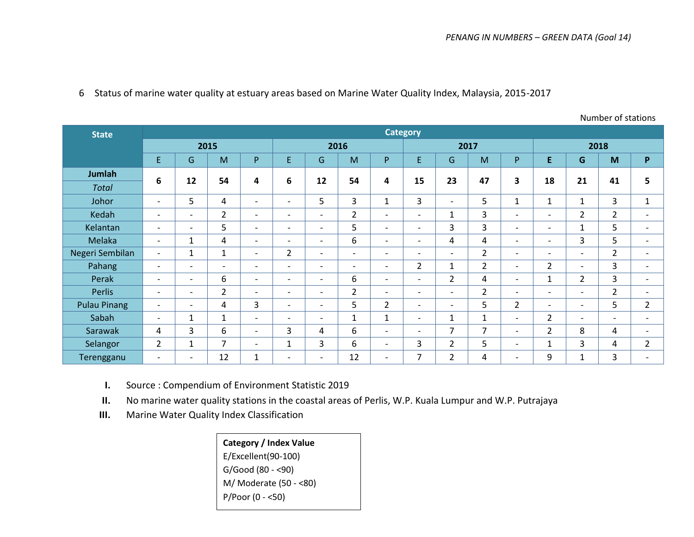Number of stations

| <b>State</b>        |                          |                          |                          |                          |                          |                          |                          | <b>Category</b>          |                          |                          |                |                          |                          |                          |                          |                          |
|---------------------|--------------------------|--------------------------|--------------------------|--------------------------|--------------------------|--------------------------|--------------------------|--------------------------|--------------------------|--------------------------|----------------|--------------------------|--------------------------|--------------------------|--------------------------|--------------------------|
|                     | 2015                     |                          |                          |                          |                          | 2016                     |                          |                          |                          | 2017                     |                |                          | 2018                     |                          |                          |                          |
|                     | E                        | G                        | M                        | P                        | E                        | G                        | M                        | P.                       | E.                       | G                        | M              | P.                       | E.                       | G                        | M                        | P                        |
| <b>Jumlah</b>       | 6                        | 12                       | 54                       | 4                        | 6                        | 12                       | 54                       | 4                        | 15                       | 23                       | 47             | 3                        | 18                       | 21                       | 41                       | 5                        |
| <b>Total</b>        |                          |                          |                          |                          |                          |                          |                          |                          |                          |                          |                |                          |                          |                          |                          |                          |
| Johor               | $\overline{\phantom{a}}$ | 5                        | 4                        | $\overline{\phantom{a}}$ | $\overline{\phantom{a}}$ | 5                        | 3                        | $\mathbf{1}$             | 3                        | $\overline{\phantom{a}}$ | 5              | $\mathbf{1}$             | $\mathbf{1}$             | $\mathbf{1}$             | 3                        | $\mathbf{1}$             |
| Kedah               | $\overline{\phantom{a}}$ | $\overline{\phantom{a}}$ | $\overline{2}$           | $\overline{\phantom{a}}$ | $\overline{\phantom{a}}$ | $\overline{\phantom{a}}$ | $\overline{2}$           | $\overline{\phantom{a}}$ | $\overline{\phantom{0}}$ | 1                        | 3              | $\overline{\phantom{a}}$ | $\overline{\phantom{a}}$ | $\overline{2}$           | $\overline{2}$           | $\overline{\phantom{a}}$ |
| Kelantan            | $\overline{\phantom{a}}$ | $\overline{\phantom{0}}$ | 5                        | $\overline{\phantom{0}}$ | $\overline{\phantom{a}}$ | $\overline{\phantom{a}}$ | 5                        | $\overline{\phantom{a}}$ | $\overline{\phantom{0}}$ | 3                        | 3              | $\overline{\phantom{0}}$ | $\sim$                   | $\mathbf{1}$             | 5                        | $\overline{\phantom{a}}$ |
| Melaka              | $\overline{\phantom{0}}$ | $\mathbf{1}$             | 4                        | $\overline{\phantom{0}}$ | $\overline{\phantom{a}}$ | $\overline{\phantom{a}}$ | 6                        | $\overline{\phantom{a}}$ | $\overline{\phantom{0}}$ | 4                        | 4              | $\overline{\phantom{0}}$ | $\overline{\phantom{a}}$ | 3                        | 5                        | $\overline{\phantom{a}}$ |
| Negeri Sembilan     | $\overline{\phantom{a}}$ | 1                        | $\mathbf{1}$             | $\overline{\phantom{0}}$ | $\overline{2}$           | $\overline{\phantom{a}}$ | $\overline{\phantom{a}}$ | $\overline{\phantom{0}}$ | $\overline{\phantom{a}}$ | $\overline{\phantom{a}}$ | $\overline{2}$ | $\overline{\phantom{a}}$ | $\overline{\phantom{a}}$ | $\overline{\phantom{a}}$ | $\overline{2}$           | $\overline{\phantom{a}}$ |
| Pahang              | $\overline{\phantom{a}}$ | $\overline{\phantom{0}}$ | $\overline{\phantom{a}}$ | $\overline{\phantom{0}}$ | $\overline{\phantom{a}}$ | $\overline{\phantom{a}}$ | $\overline{\phantom{a}}$ | $\overline{\phantom{a}}$ | $\overline{2}$           | $\mathbf{1}$             | $\overline{2}$ | $\overline{\phantom{a}}$ | $\overline{2}$           | $\overline{\phantom{a}}$ | 3                        | $\overline{\phantom{a}}$ |
| Perak               | $\overline{\phantom{0}}$ | $\overline{\phantom{0}}$ | 6                        | $\overline{\phantom{a}}$ | $\overline{\phantom{a}}$ | $\overline{\phantom{a}}$ | 6                        | $\overline{\phantom{a}}$ | $\overline{\phantom{0}}$ | $\overline{2}$           | 4              | $\overline{\phantom{a}}$ | $\mathbf{1}$             | $\overline{2}$           | 3                        | $\overline{\phantom{a}}$ |
| <b>Perlis</b>       | $\overline{\phantom{a}}$ | $\overline{\phantom{0}}$ | $\overline{2}$           | $\overline{\phantom{a}}$ | $\overline{\phantom{a}}$ | $\overline{\phantom{a}}$ | $\overline{2}$           | $\overline{\phantom{a}}$ | $\overline{\phantom{a}}$ | $\overline{\phantom{0}}$ | $\overline{2}$ | $\overline{\phantom{a}}$ | $\overline{\phantom{a}}$ | $\overline{\phantom{a}}$ | $\overline{2}$           | $\overline{\phantom{a}}$ |
| <b>Pulau Pinang</b> | $\overline{\phantom{a}}$ | $\overline{\phantom{a}}$ | 4                        | 3                        | $\overline{\phantom{a}}$ | $\overline{\phantom{a}}$ | 5                        | $\overline{2}$           | $\overline{\phantom{0}}$ | $\overline{\phantom{a}}$ | 5              | $\overline{2}$           | $\overline{\phantom{a}}$ | $\overline{\phantom{a}}$ | 5                        | $\overline{2}$           |
| Sabah               | $\overline{\phantom{a}}$ | $\mathbf{1}$             | $\mathbf{1}$             | $\overline{\phantom{a}}$ | $\overline{\phantom{a}}$ | $\overline{\phantom{a}}$ | $\mathbf{1}$             | $\mathbf{1}$             | $\overline{\phantom{0}}$ | 1                        | $\mathbf{1}$   | $\overline{\phantom{a}}$ | $\overline{2}$           | $\overline{\phantom{a}}$ | $\overline{\phantom{a}}$ | $\overline{\phantom{a}}$ |
| Sarawak             | 4                        | 3                        | 6                        | $\overline{\phantom{a}}$ | 3                        | 4                        | 6                        | $\overline{\phantom{a}}$ | $\overline{\phantom{0}}$ | 7                        | $\overline{7}$ | $\overline{\phantom{a}}$ | $\overline{2}$           | 8                        | 4                        | $\overline{\phantom{a}}$ |
| Selangor            | $\overline{2}$           | 1                        | 7                        | $\overline{\phantom{a}}$ | 1                        | 3                        | 6                        | $\overline{\phantom{a}}$ | 3                        | $\overline{2}$           | 5              | $\overline{\phantom{a}}$ | $\mathbf{1}$             | 3                        | 4                        | $\overline{2}$           |
| Terengganu          | $\overline{\phantom{a}}$ | $\overline{\phantom{0}}$ | 12                       | 1                        | $\overline{\phantom{a}}$ | $\overline{\phantom{a}}$ | 12                       | $\overline{\phantom{a}}$ | 7                        | $\overline{2}$           | 4              | $\overline{\phantom{a}}$ | 9                        | $\mathbf{1}$             | 3                        | $\overline{\phantom{a}}$ |

**I.** Source : Compendium of Environment Statistic 2019

**II.** No marine water quality stations in the coastal areas of Perlis, W.P. Kuala Lumpur and W.P. Putrajaya

**III.** Marine Water Quality Index Classification

**Category / Index Value** E/Excellent(90-100) G/Good (80 - <90) M/ Moderate (50 - <80) P/Poor (0 - <50)